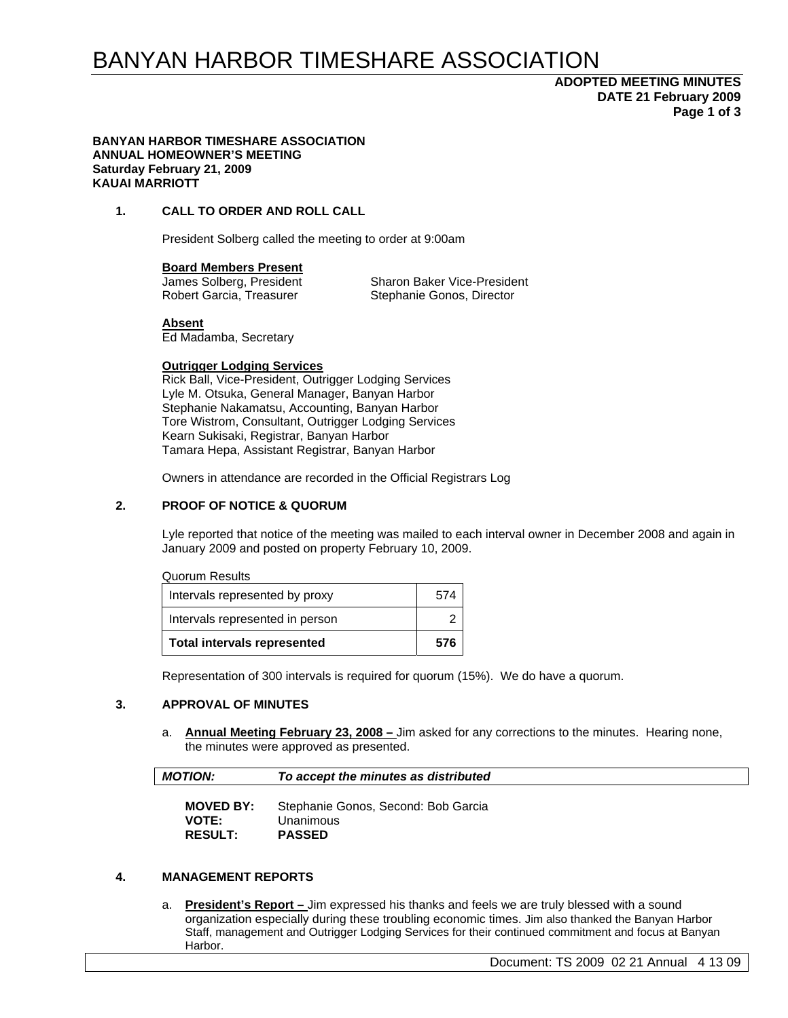# BANYAN HARBOR TIMESHARE ASSOCIATION

# **ADOPTED MEETING MINUTES DATE 21 February 2009 Page 1 of 3**

#### **BANYAN HARBOR TIMESHARE ASSOCIATION ANNUAL HOMEOWNER'S MEETING Saturday February 21, 2009 KAUAI MARRIOTT**

### **1. CALL TO ORDER AND ROLL CALL**

President Solberg called the meeting to order at 9:00am

#### **Board Members Present**

James Solberg, President Sharon Baker Vice-President Robert Garcia, Treasurer Stephanie Gonos, Director

#### **Absent**

Ed Madamba, Secretary

### **Outrigger Lodging Services**

Rick Ball, Vice-President, Outrigger Lodging Services Lyle M. Otsuka, General Manager, Banyan Harbor Stephanie Nakamatsu, Accounting, Banyan Harbor Tore Wistrom, Consultant, Outrigger Lodging Services Kearn Sukisaki, Registrar, Banyan Harbor Tamara Hepa, Assistant Registrar, Banyan Harbor

Owners in attendance are recorded in the Official Registrars Log

### **2. PROOF OF NOTICE & QUORUM**

Lyle reported that notice of the meeting was mailed to each interval owner in December 2008 and again in January 2009 and posted on property February 10, 2009.

Quorum Results

| <b>Total intervals represented</b> | 576 |  |
|------------------------------------|-----|--|
| Intervals represented in person    |     |  |
| Intervals represented by proxy     | 574 |  |

Representation of 300 intervals is required for quorum (15%). We do have a quorum.

## **3. APPROVAL OF MINUTES**

a. **Annual Meeting February 23, 2008 –** Jim asked for any corrections to the minutes. Hearing none, the minutes were approved as presented.

| <b>MOTION:</b> | To accept the minutes as distributed |  |
|----------------|--------------------------------------|--|
|----------------|--------------------------------------|--|

| <b>MOVED BY:</b> | Stephanie Gonos, Second: Bob Garcia |
|------------------|-------------------------------------|
| <b>VOTE:</b>     | Unanimous                           |
| <b>RESULT:</b>   | <b>PASSED</b>                       |

### **4. MANAGEMENT REPORTS**

a. **President's Report –** Jim expressed his thanks and feels we are truly blessed with a sound organization especially during these troubling economic times. Jim also thanked the Banyan Harbor Staff, management and Outrigger Lodging Services for their continued commitment and focus at Banyan Harbor.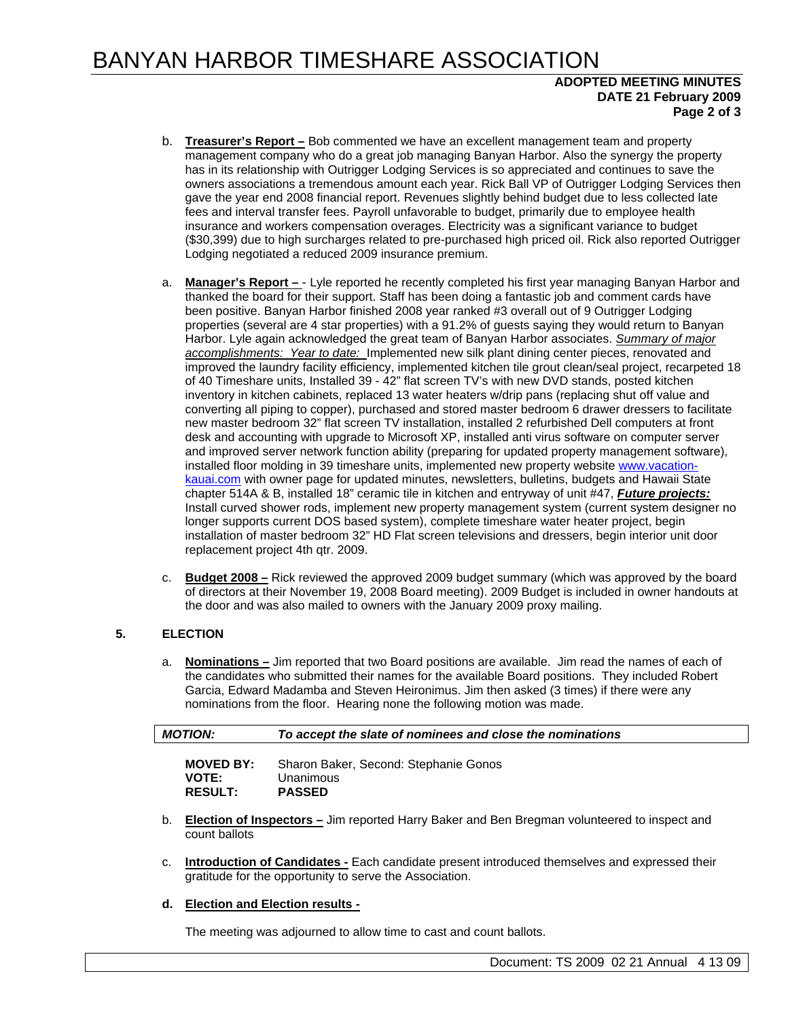# BANYAN HARBOR TIMESHARE ASSOCIATION

# **ADOPTED MEETING MINUTES DATE 21 February 2009 Page 2 of 3**

- b. **Treasurer's Report –** Bob commented we have an excellent management team and property management company who do a great job managing Banyan Harbor. Also the synergy the property has in its relationship with Outrigger Lodging Services is so appreciated and continues to save the owners associations a tremendous amount each year. Rick Ball VP of Outrigger Lodging Services then gave the year end 2008 financial report. Revenues slightly behind budget due to less collected late fees and interval transfer fees. Payroll unfavorable to budget, primarily due to employee health insurance and workers compensation overages. Electricity was a significant variance to budget (\$30,399) due to high surcharges related to pre-purchased high priced oil. Rick also reported Outrigger Lodging negotiated a reduced 2009 insurance premium.
- a. **Manager's Report**  Lyle reported he recently completed his first year managing Banyan Harbor and thanked the board for their support. Staff has been doing a fantastic job and comment cards have been positive. Banyan Harbor finished 2008 year ranked #3 overall out of 9 Outrigger Lodging properties (several are 4 star properties) with a 91.2% of guests saying they would return to Banyan Harbor. Lyle again acknowledged the great team of Banyan Harbor associates. *Summary of major accomplishments: Year to date:* Implemented new silk plant dining center pieces, renovated and improved the laundry facility efficiency, implemented kitchen tile grout clean/seal project, recarpeted 18 of 40 Timeshare units, Installed 39 - 42" flat screen TV's with new DVD stands, posted kitchen inventory in kitchen cabinets, replaced 13 water heaters w/drip pans (replacing shut off value and converting all piping to copper), purchased and stored master bedroom 6 drawer dressers to facilitate new master bedroom 32" flat screen TV installation, installed 2 refurbished Dell computers at front desk and accounting with upgrade to Microsoft XP, installed anti virus software on computer server and improved server network function ability (preparing for updated property management software), installed floor molding in 39 timeshare units, implemented new property website www.vacationkauai.com with owner page for updated minutes, newsletters, bulletins, budgets and Hawaii State chapter 514A & B, installed 18" ceramic tile in kitchen and entryway of unit #47, *Future projects:*  Install curved shower rods, implement new property management system (current system designer no longer supports current DOS based system), complete timeshare water heater project, begin installation of master bedroom 32" HD Flat screen televisions and dressers, begin interior unit door replacement project 4th qtr. 2009.
- c. **Budget 2008 –** Rick reviewed the approved 2009 budget summary (which was approved by the board of directors at their November 19, 2008 Board meeting). 2009 Budget is included in owner handouts at the door and was also mailed to owners with the January 2009 proxy mailing.

# **5. ELECTION**

a. **Nominations –** Jim reported that two Board positions are available. Jim read the names of each of the candidates who submitted their names for the available Board positions. They included Robert Garcia, Edward Madamba and Steven Heironimus. Jim then asked (3 times) if there were any nominations from the floor. Hearing none the following motion was made.

|    | <b>MOTION:</b>                                     | To accept the slate of nominees and close the nominations                                           |
|----|----------------------------------------------------|-----------------------------------------------------------------------------------------------------|
|    | <b>MOVED BY:</b><br><b>VOTE:</b><br><b>RESULT:</b> | Sharon Baker, Second: Stephanie Gonos<br>Unanimous<br><b>PASSED</b>                                 |
| b. | count ballots                                      | <b>Election of Inspectors – Jim reported Harry Baker and Ben Bregman volunteered to inspect and</b> |

c. **Introduction of Candidates -** Each candidate present introduced themselves and expressed their gratitude for the opportunity to serve the Association.

## **d. Election and Election results -**

The meeting was adjourned to allow time to cast and count ballots.